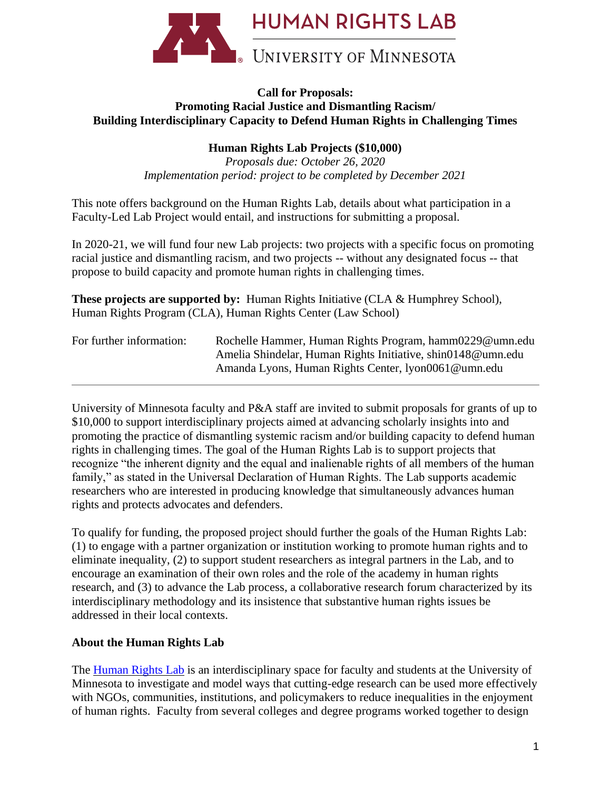

### **Call for Proposals: Promoting Racial Justice and Dismantling Racism/ Building Interdisciplinary Capacity to Defend Human Rights in Challenging Times**

# **Human Rights Lab Projects (\$10,000)**

*Proposals due: October 26, 2020 Implementation period: project to be completed by December 2021*

This note offers background on the Human Rights Lab, details about what participation in a Faculty-Led Lab Project would entail, and instructions for submitting a proposal.

In 2020-21, we will fund four new Lab projects: two projects with a specific focus on promoting racial justice and dismantling racism, and two projects -- without any designated focus -- that propose to build capacity and promote human rights in challenging times.

|                                                              | <b>These projects are supported by:</b> Human Rights Initiative (CLA $\&$ Humphrey School), |
|--------------------------------------------------------------|---------------------------------------------------------------------------------------------|
| Human Rights Program (CLA), Human Rights Center (Law School) |                                                                                             |

| For further information: | Rochelle Hammer, Human Rights Program, hamm0229@umn.edu     |
|--------------------------|-------------------------------------------------------------|
|                          | Amelia Shindelar, Human Rights Initiative, shin0148@umn.edu |
|                          | Amanda Lyons, Human Rights Center, 1yon0061@umn.edu         |

University of Minnesota faculty and P&A staff are invited to submit proposals for grants of up to \$10,000 to support interdisciplinary projects aimed at advancing scholarly insights into and promoting the practice of dismantling systemic racism and/or building capacity to defend human rights in challenging times. The goal of the Human Rights Lab is to support projects that recognize "the inherent dignity and the equal and inalienable rights of all members of the human family," as stated in the Universal Declaration of Human Rights. The Lab supports academic researchers who are interested in producing knowledge that simultaneously advances human rights and protects advocates and defenders.

To qualify for funding, the proposed project should further the goals of the Human Rights Lab: (1) to engage with a partner organization or institution working to promote human rights and to eliminate inequality, (2) to support student researchers as integral partners in the Lab, and to encourage an examination of their own roles and the role of the academy in human rights research, and (3) to advance the Lab process, a collaborative research forum characterized by its interdisciplinary methodology and its insistence that substantive human rights issues be addressed in their local contexts.

## **About the Human Rights Lab**

The [Human Rights Lab](https://www.law.umn.edu/human-rights-center/human-rights-lab/about) is an interdisciplinary space for faculty and students at the University of Minnesota to investigate and model ways that cutting-edge research can be used more effectively with NGOs, communities, institutions, and policymakers to reduce inequalities in the enjoyment of human rights. Faculty from several colleges and degree programs worked together to design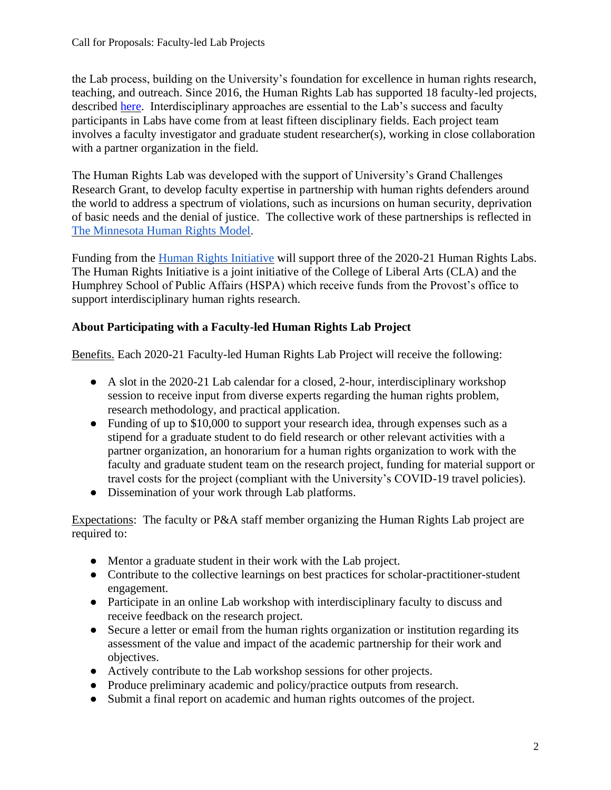the Lab process, building on the University's foundation for excellence in human rights research, teaching, and outreach. Since 2016, the Human Rights Lab has supported 18 faculty-led projects, described [here.](https://www.law.umn.edu/human-rights-center/human-rights-lab/lab-projects) Interdisciplinary approaches are essential to the Lab's success and faculty participants in Labs have come from at least fifteen disciplinary fields. Each project team involves a faculty investigator and graduate student researcher(s), working in close collaboration with a partner organization in the field.

The Human Rights Lab was developed with the support of University's Grand Challenges Research Grant, to develop faculty expertise in partnership with human rights defenders around the world to address a spectrum of violations, such as incursions on human security, deprivation of basic needs and the denial of justice. The collective work of these partnerships is reflected in [The Minnesota Human Rights Model.](https://www.youtube.com/watch?v=tnYxhzMmOGY)

Funding from the [Human Rights Initiative](https://cla.umn.edu/human-rights/research/human-rights-initiative) will support three of the 2020-21 Human Rights Labs. The Human Rights Initiative is a joint initiative of the College of Liberal Arts (CLA) and the Humphrey School of Public Affairs (HSPA) which receive funds from the Provost's office to support interdisciplinary human rights research.

## **About Participating with a Faculty-led Human Rights Lab Project**

Benefits. Each 2020-21 Faculty-led Human Rights Lab Project will receive the following:

- A slot in the 2020-21 Lab calendar for a closed, 2-hour, interdisciplinary workshop session to receive input from diverse experts regarding the human rights problem, research methodology, and practical application.
- Funding of up to \$10,000 to support your research idea, through expenses such as a stipend for a graduate student to do field research or other relevant activities with a partner organization, an honorarium for a human rights organization to work with the faculty and graduate student team on the research project, funding for material support or travel costs for the project (compliant with the University's COVID-19 travel policies).
- Dissemination of your work through Lab platforms.

Expectations: The faculty or P&A staff member organizing the Human Rights Lab project are required to:

- Mentor a graduate student in their work with the Lab project.
- Contribute to the collective learnings on best practices for scholar-practitioner-student engagement.
- Participate in an online Lab workshop with interdisciplinary faculty to discuss and receive feedback on the research project.
- Secure a letter or email from the human rights organization or institution regarding its assessment of the value and impact of the academic partnership for their work and objectives.
- Actively contribute to the Lab workshop sessions for other projects.
- Produce preliminary academic and policy/practice outputs from research.
- Submit a final report on academic and human rights outcomes of the project.